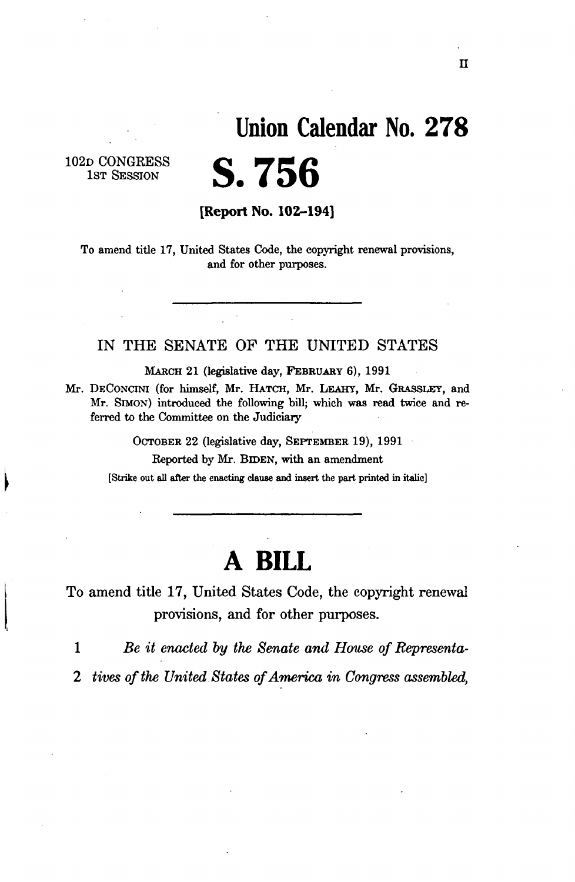## **Union Calendar No. 27 8**

102D CONGRESS 1<sub>ST</sub> SESSION

**[Report No. 102-194]** 

**S.756** 

To amend title 17, United States Code, the copyright renewal provisions, and for other purposes.

#### IN THE SENATE OF THE UNITED STATES

MARCH 21 (legislative day, FEBRUARY 6), 1991

Mr. DECONCINI (for himself, Mr. HATCH, Mr. LEAHY, Mr. GRASSLEY, and Mr. SIMON) introduced the following bill; which was read twice and referred to the Committee on the Judiciary

> OCTOBER 22 (legislative day, SEPTEMBER 19), 1991 Reported by Mr. BIDEN, with an amendment

[Strike out all after the enacting clause and insert the part printed in italic]

# **A BILL**

To amend title 17, United States Code, the copyright renewal provisions, and for other purposes.

1 *Be it enacted by the Senate and House of Representa-*

*2 tives of the United States of America in Congress assembled,*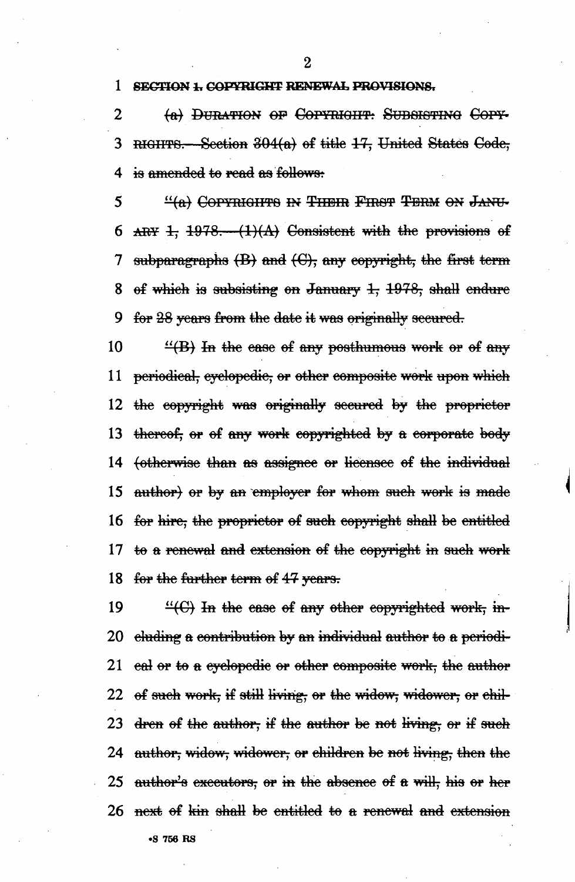**1 SECTION 1. COPYRIGHT RENEWAL PROVISIONS.** 

2 (a) DURATION OF COPYRIGHT: SUBSISTING COPY-3 RIGHTS.— Section 304(a) of title 17, United States Code, 4 is amended to read as follows:

5 <sup>\*\*</sup>\*\*(a)• Copyright's in Their First Term on Janu-6 ARY 1,  $1978$ .  $(1)(A)$  Consistent with the provisions of 7 subparagraphs  $(B)$  and  $(C)$ , any copyright, the first term 8 of which is subsisting on January  $1, 1978$ , shall endure 9 for 28 years from the date it was originally secured.

10  $\frac{10}{10}$  Th the ease of any posthumous work or of any 11 periodical, eyelopedic, or other composite work upon which 12 the copyright was originally secured by the proprietor 13 thereof, or of any work copyrighted by a corporate body 14 (otherwise than as assignee or licensee of the individual 15 author) or by an employer for whom such work is made 16 for hire, the proprietor of such copyright shall be entitled 17 to a renewal and extension of the copyright in such work 18 for the further term of 47 years.

19  $\frac{4}{10}$  H the ease of any other copyrighted work, in-20 eluding a contribution by an individual author to a periodi-21 eal or to a cyclopedic or other composite work, the author 22 of such work, if still living, or the widow, widower, or chil-23 dren of the author, if the author be not living, or if such 24 author, widow, widower, or children be not living, then the 25 author's executors, or in the absence of a will, his or her  $26$  next of kin shall be entitled to a renewal and extension **•S 756 RS**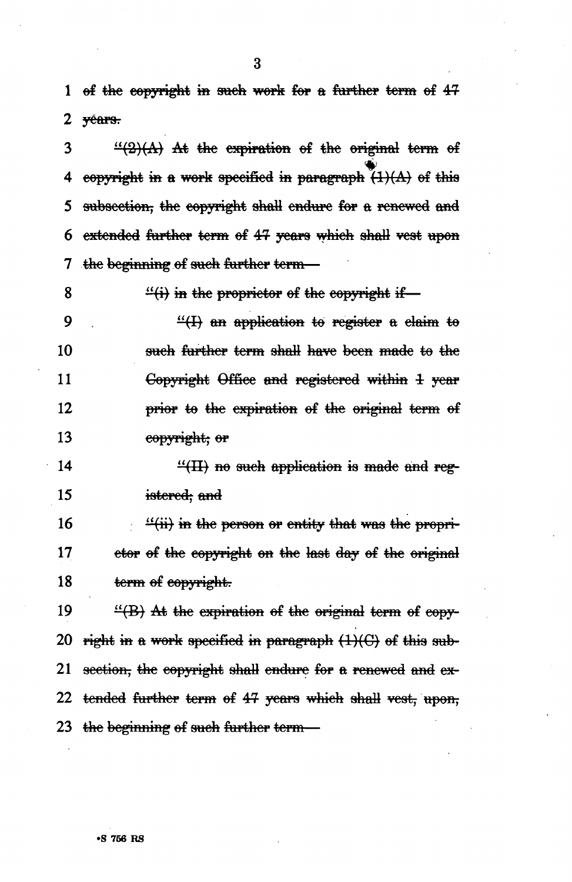1 of the copyright in such work for a further term of 42 2 yéars.

 $3 \frac{4(2)}{A}$  At the expiration of the original term of 4 copyright in a work specified *m* paragraph (1)(A) of this 5 subsection, the copyright shall endure for a renewed and 6 extended further term of 4? years which shall vest upon 7 the beginning of such farther term—

8

 $\frac{d}{dt}$  in the proprietor of the copyright if—

9  $\frac{4}{2}$  an application to register a claim to 10 such further term shall have been made to the 11 Copyright Office and registered within 4 year 12 **prior to the expiration of the original term of** 13 copyright; or

 $\frac{4}{11}$  no such application is made and reg-15 istered; and

16  $\frac{1}{2}$  in the person or entity that was the propri-17 etor of the copyright on the last day of the original 18 term of copyright.

19  $\frac{16}{18}$  At the expiration of the original term of copy-20 right in a work specified in paragraph  $(1)(C)$  of this sub-21 section, the copyright shall endure for a renewed and ex-22 tended farther term of 42 years which shall vest, upon; 23 the beginning of such further term-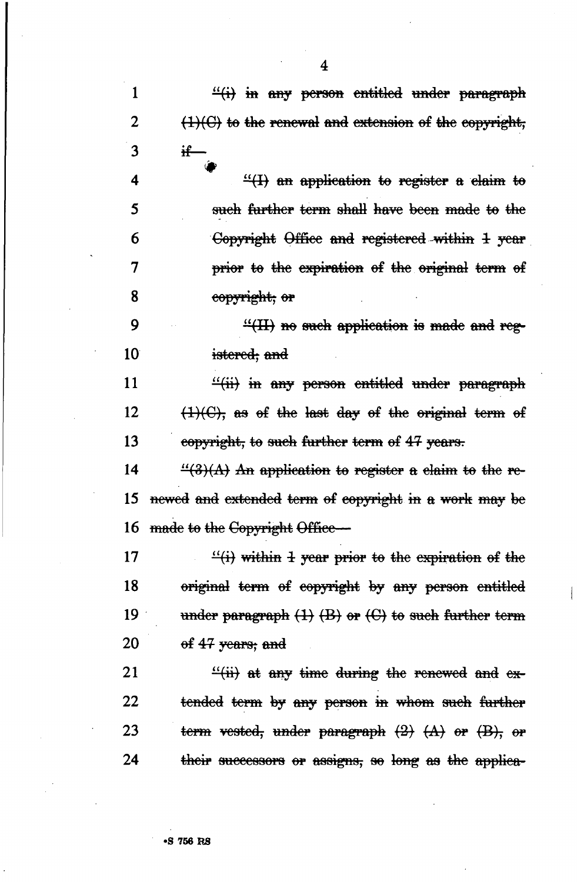1 *H<sub>tt</sub>* in any person entitled under paragraph 2  $(1)(C)$  to the renewal and extension of the copyright, **3 if—**  4  $\frac{4}{2}$  an application to register a claim to 5 such farther term shall have been made to the 6 Copyright Office and registered within 1 year 7 **prior to the expiration of the original term of** 8 copyright; er 9  $\frac{4(H)}{H}$  no such application is made and reg-10 istered; and 11  $\frac{4}{11}$  in any person entitled under paragraph 12  $\left(1\right)(C)$ , as of the last day of the original term of 13 copyright, to such further term of 47 years. 14  $\frac{4}{3}(3)$  An application to register a claim to the re-15 ncwcd and extended term ef copyright in a work may be 16 made to the Copyright Office— 17  $\frac{1}{11}$  within 1 year prior to the expiration of the 18 original term ef copyright by any person entitled 19 under paragraph  $(1)$   $(B)$  or  $(C)$  to such further term 20  $\qquad$  of 47 years; and 21  $\frac{f'(ii)}{ii}$  at any time during the renewed and ex-22 tended term by any person in whom such further 23 term vested, under paragraph  $(2)$   $(A)$  or  $(B)$ , or 24 their successors or assigns, so long as the applica-

4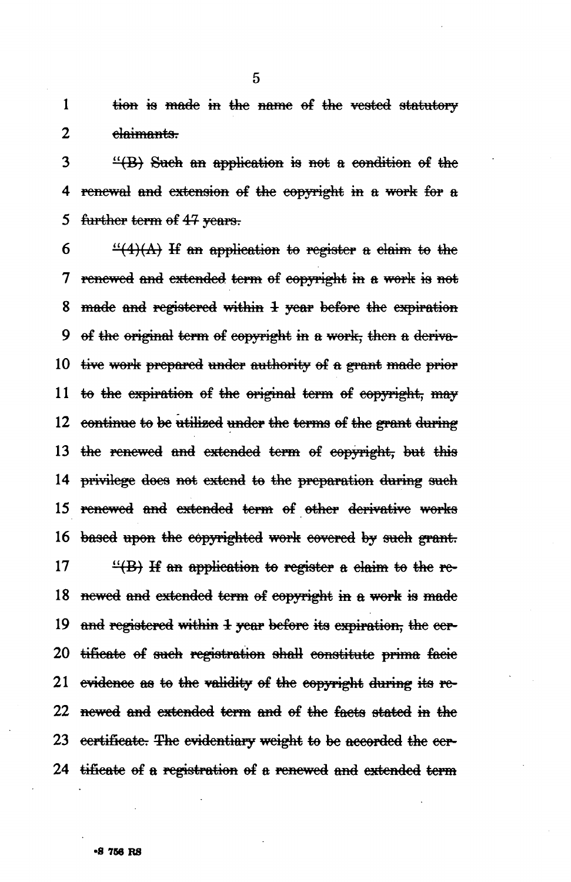1 tien is made in the name of the vested statutory 2 elaimants.

5

 $3$  "(B) Such an application is not a condition of the 4 renewal and extension of the copyright in a work for  $a$ 5 farther term of *43-* years.

6 " $\frac{4}{4}(4)$  if an application to register a claim to the 7 renewed *mt&* extended term of copyright in a work is not 8 made and registered within 1 year before the expiration 9 of the original term of copyright in a work, then a deriva-10 tive work prepared under authority of a grant made prior 11 to the expiration of the original term of copyright, may 12 continue to be utilized under the terms of the grant during 13 the renewed and extended term of copyright, but this 14 privilege does not extend to the preparation during sueh 15 renewed and extended term of other derivative works 16 based upon the copyrighted work covered by sueh grant. 17  $\frac{17}{16}$  if an application to register a claim to the re-18 newed and extended term of copyright in a work is made 19 and registered within *1* year before its expiration, the eer-20 tificate of such registration shall constitute prima facie 21 evidence as to the validity of the copyright during its re-22 newed and extended term and of the facts stated in the 23 certificate. The evidentiary weight to be accorded the eer-24 tificate of a registration of a renewed and extended term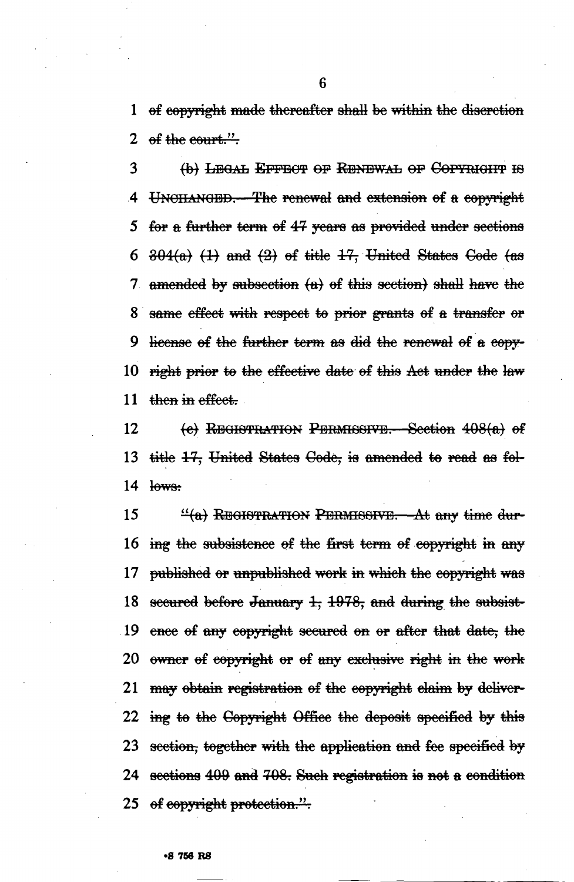1 of copyright made thereafter shall be within the discretion 2 of the court.".

3 {fe) LEGAL EFFECT OP RENEWAL OF CorYniairr *m*  4 UNCHANGED.—The renewal and extension of a copyright 5 for a further term of 47 years as provided under sections 6  $\frac{304(a)}{1}$  (1) and (2) of title 17, United States Code (as 7 amended by subsection  ${a}$  of this section) shall have the 8 same effect with respect to prior grants of a transfer or 9 license of the further term as did the renewal of a copy-10 right prior to the effective date of this Aet under the law 11 then in effect.

12 (e) REGISTRATION PERMISSIVE. Section 408(a) of 13 title 17, United States Code, is amended to read as fol- $14$  lows:

15 <sup>*a*</sup>(a)</sub> REGISTRATION PERMISSIVE.—At any time dur-16 ing the subsistence of the first term of copyright in any 17 published or unpublished work *m* which the copyright was 18 secured before January  $1, 1978$ , and during the subsist-19 ence of any copyright secured on or after that date, the 20 owner of copyright or of any exclusive right *m* the work 21 may obtain registration of the copyright claim by deliver-22 ing to the Copyright Office the deposit specified by this 23 section, together with the application and fee specified by 24 sections 409 and 708. Such registration is not a condition 25 of copyright protection.".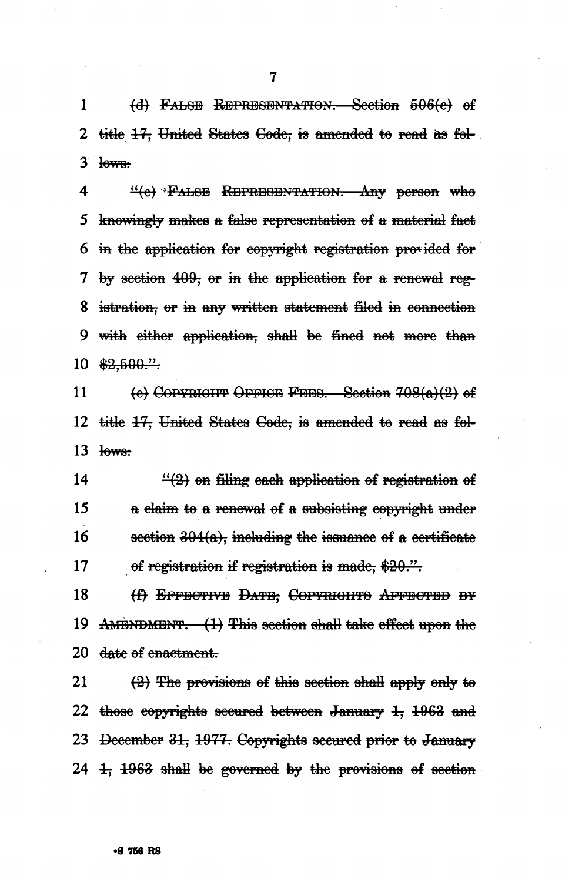1 (d) FALSE REPRESENTATION. Section 506(e) of 2 title  $17$ , United States Code, is amended to read as fol- $3$  lows:

4  $\frac{4}{6}$  \*FAL8E REPRESENTATION. Any person who 5 knowingly makes a false representation of a material fact 6 *m* the application for copyright registration provided for 7 by section  $409$ , or in the application for a renewal reg-8 istration, or in any written statement filed *m* connection 9 with cither application, shall be fined not more  $10 \frac{22,500."}{$ 

11  $\left\{\text{e}\right\}$  Copynight Office Fees. Section 708(a)(2) of 12 title 17, United States Code, is amended to read as fol- $13$  lows:

14  $\frac{4}{2}$  on filing each application of registration of 15 a claim to a renewal of a subsisting copyright under 16 section  $304(a)$ , including the issuance of a certificate 17 of registration if registration is made, \$20.".

18 (f) EFFECTIVE DATE; COPYRIGHTS AFFECTED BY 19 AMENDMENT.  $-(1)$  This section shall take effect upon the 20 <del>date of enactment.</del>

21  $\left( \frac{1}{2} \right)$  The provisions of this section shall apply only to 22 those copyrights secured between January  $1, 1963$  and 23 <del>December 31, 1977. Copyrights secured prior to January</del> 24  $\pm$ ,  $\pm$  963 shall be governed by the provisions of section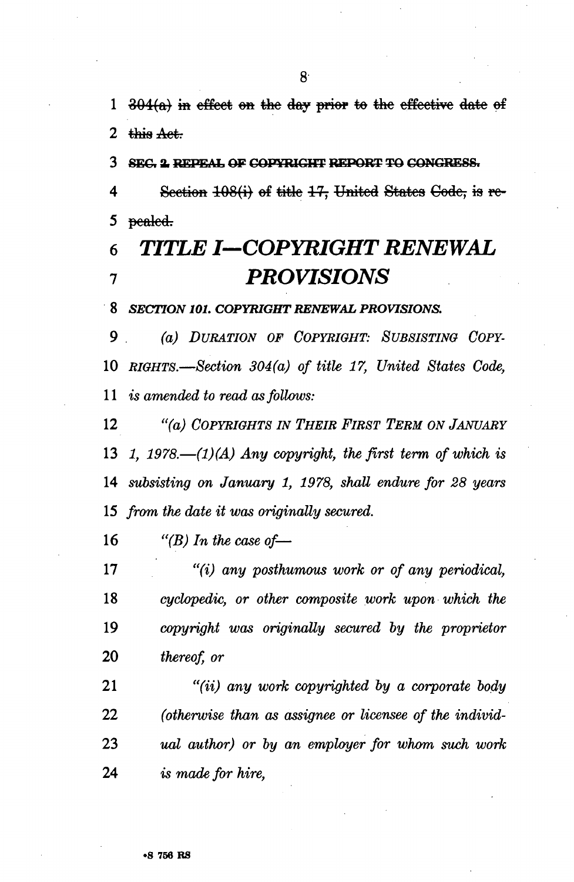1  $304(a)$  in effect on the day prior to the effective date of **2**  $+$ **his Act.** 

**3 8EG. X REPEAL OF COPYRIGHT REPORT TO CONGRESS.** 

4 Section 108(i) of title 17, United States Code, is re-5 pealed.

## **6 TITLE** *I—COPYRIGHT RENEWAL*  **7** *PROVISIONS*

**8** *SECTION 101. COPYRIGHT RENEWAL PROVISIONS.* 

9 (a,) *DURATION OF COPYRIGHT: SUBSISTING COPY-*10 *RIGHTS.*—*Section 304(a) of title 17, United States Code,*  11 is *amended to read as follows:* 

12 "faj *COPYRIGHTS IN THEIR FIRST TERM ON JANUARY 1, 1978.*—*(1)(A) Any copyright, the first term of which is subsisting on January 1, 1978, shall endure for 28 years from the date it was originally secured.* 

16 *"(B) In the case of—* 

 *"(i) any posthumous work or of any periodical, cyclopedic, or other composite work upon which the copyright was originally secured by the proprietor thereof, or* 

 *"(ii) any work copyrighted by a corporate body (otherwise than as assignee or licensee of the individ- ual author) or by an employer for whom such work*  24 & *made for hire,*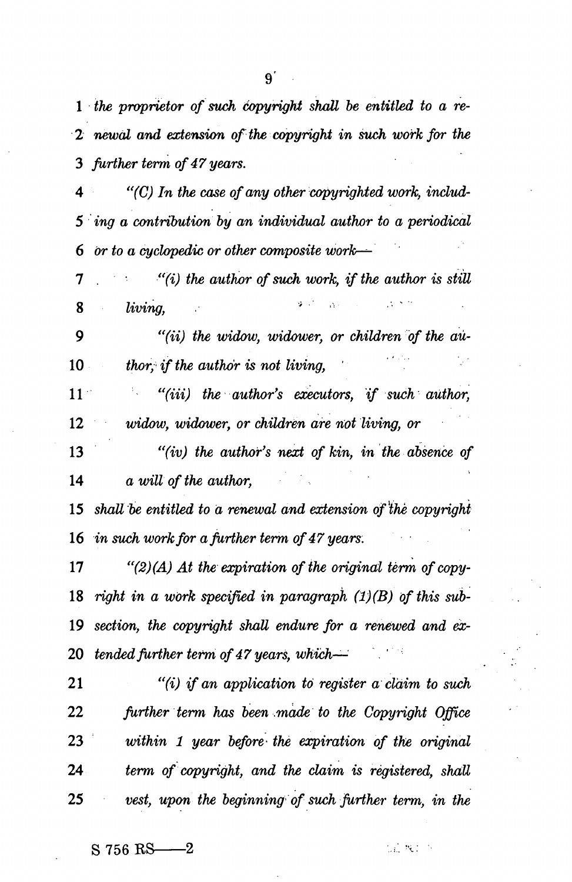*the proprietor of such copyright shall be entitled to a re-2 newal and extension of the copyright in such work for the further term of 47 years.* 

 *"(C) In the case of any other copyrighted work, includ-5 ing a contribution by an individual author to a periodical or to a cyclopedic or other composite work-^* 

7 . *"(i) the author of such work, if the author is still*   $\sim$   $\Delta$  . *living*.

 *"(ii) the widow, widower, or children of the au-*10 thor, if the author is not living,

 *"(in) the author's executors, if such author, widow, widower, or children are not living, or* 

 *"(iv) the author's next of kin, in the absence of a will of the author,* 

 *shall be entitled to a renewal and extension of<sup>l</sup> ihe copyright in such work for a further term of 47 years:* 

 *"(2) (A) At the expiration of the original term of copy- right in a work specified in paragraph (1)(B) of this sub- section, the copyright shall endure for a renewed and ex- tended further term of 47 years, which—* 

 *"(i) if an application to register a claim to such further term has been made to the Copyright Office within 1 year before' the expiration of the original term of copyright, and the claim is registered, shall vest, upon the beginning of such Jurther term, in the* 

 $S$  756 RS  $-2$ 

近飞!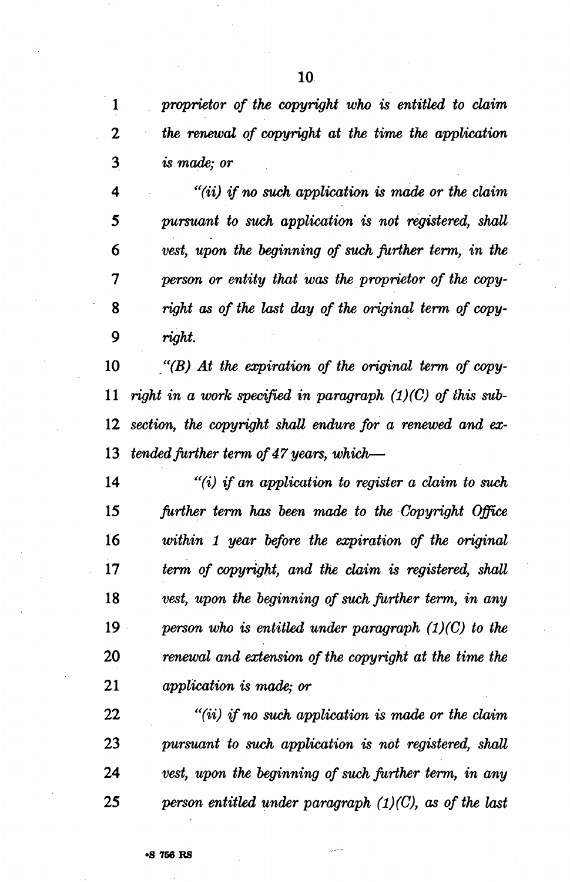*proprietor of the copyright who is entitled to claim 2 the renewal of copyright at the time the application is made; or* 

 *"(ii) if no such application is made or the claim pursuant to such application is not registered, shall vest, upon the beginning of such further term, in the person or entity that was the proprietor of the copy- right as of the last day of the original term of copy-9 right.* 

 *"(B) At the expiration of the original term of copy- right in a work specified in paragraph (1)(C) of this sub- section, the copyright shall endure for a renewed and ex- tended further term of 47 years, which*—

 *"(i) if an application to register a claim to such further term has been made to the Copyright Office within 1 year before the expiration of the original term of copyright, and the claim is registered, shall vest, upon the beginning of such further term, in any person who is entitled under paragraph (1)(C) to the renewal and extension of the copyright at the time the application is made; or* 

 *"(ii) if no such application is made or the claim pursuant to such application is not registered, shall vest, upon the beginning of such further term, in any person entitled under paragraph (1)(C), as of the last*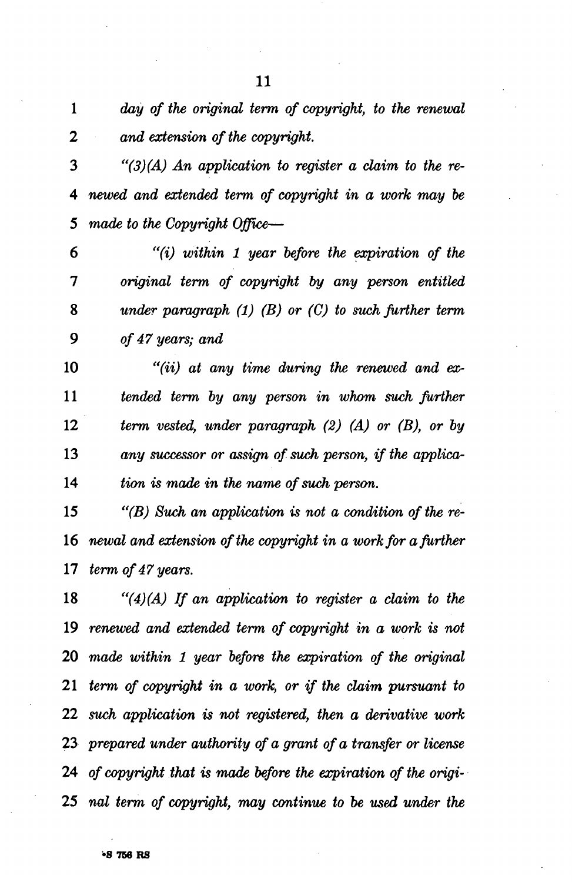*day of the original term of copyright, to the renewal 2 and extension of the copyright.* 

 *"(3) (A) An application to register a claim to the re- newed and extended term of copyright in a work may be made to the Copyright Office*—

 *"(i) within 1 year before the expiration of the original term of copyright by any person entitled under paragraph (1) (B) or (C) to such further term of 47 years; and* 

 *"(ii) at any time during the renewed and ex- tended term by any person in whom such further term vested, under paragraph (2) (A) or (B), or by any successor or assign of such person, if the applica- Hon is made in the name of such person.* 

 *"(B) Such an application is not a condition of the re- newal and extension of the copyright in a work for a further term of 47 years.* 

 *"(4) (A) If an application to register a claim to the renewed and extended term of copyright in a work is not made within 1 year before the expiration of the original term of copyright in a work, or if the claim pursuant to such application is not registered, then a derivative work prepared under authority of a grant of a transfer or license of copyright that is made before the expiration of the origi- nal term of copyright, may continue to be used under the*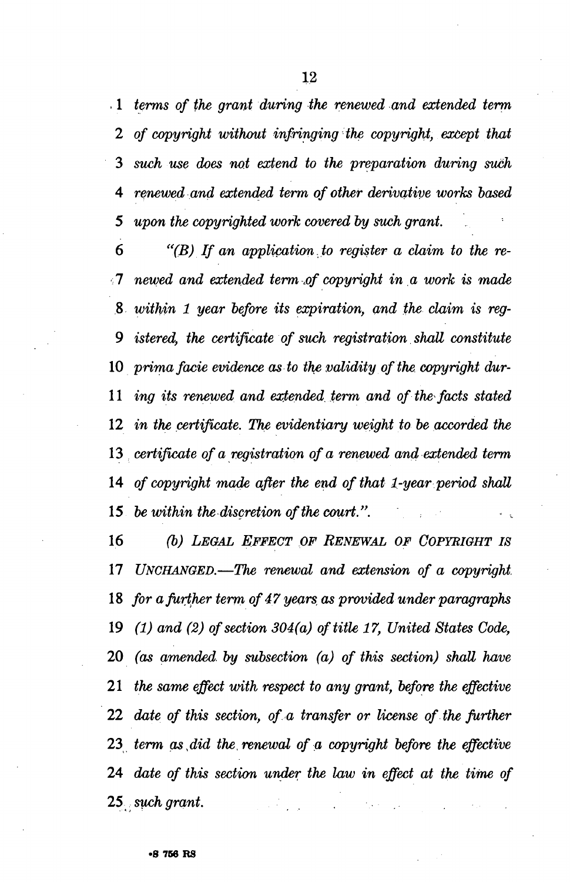. 1 *terms of the grant during the renewed and extended term 2 of copyright without infringing the copyright, except that such use does not extend to the preparation during such renewed and extended term of other derivative works based upon the copyrighted work covered by such grant.* 

 *"(B) If an application to register a claim to the re-* newed and extended term of copyright in a work is made  *within 1 year before its expiration, and the claim is reg- istered, the certificate of such registration shall constitute prima facie evidence as to the validity of the. copyright dur- ing its renewed and extended term and of the facts stated in the certificate. The evidentiary weight to be accorded the certificate of a registration of a renewed and extended term of copyright made after the end of that 1-year period shall be within the discretion of the court.''.* 

 *(b) LEGAL EFFECT OF RENEWAL OF COPYRIGHT IS UNCHANGED.*—*The renewal and extension of a copyright. for a further term of 47 years, as provided under paragraphs (1) and (2) of section 304(a) of title 17, United States Code, (as amended, by subsection (a) of this section) shall have the same effect with respect to any grant, before the effective date of this section, of a transfer or license of the further term as,did the renewal of a copyright before the effective date of this section under the law in effect at the time of such grant.*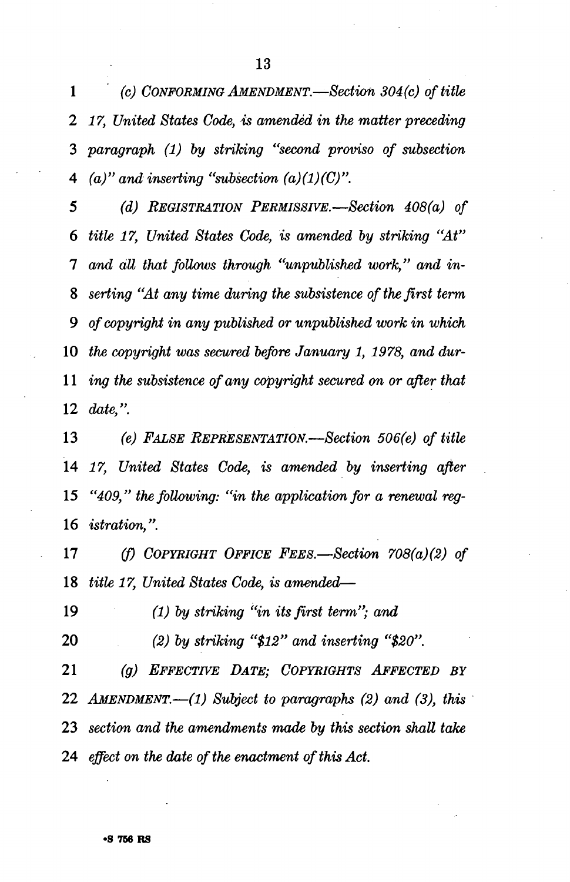*(c) CONFORMING AMENDMENT—Section 304(c) of title 2 17, United States Code, is amended in the matter preceding paragraph (1) by striking "second proviso of subsection (a)" and inserting "subsection (a)(1)(C)".* 

 *(d) REGISTRATION PERMISSIVE.*—*Section 408(a) of title 17, United States Code, is amended by striking "At" 1 and all that follows through "unpublished work," and in- setting "At any time during the subsistence of the first term 9 of copyright in any published or unpublished work in which the copyright was secured before January 1, 1978, and dur- ing the subsistence of any copyright secured on or after that date,".* 

 *(e) FALSE REPRESENTATION.*—*Section 506(e) of title 17, United States Code, is amended by inserting after "409," the following: "in the application for a renewal reg- istration,".* 

 *(f) COPYRIGHT OFFICE FEES.*—*Section 708(a)(2) of title 17, United States Code, is amended*—

 *(1) by striking "in its first term"; and* 

 *(2) by striking "\$12" and inserting "\$20".* 

 *(g) EFFECTIVE DATE; COPYRIGHTS AFFECTED BY AMENDMENT.*—*(1) Subject to paragraphs (2) and (3), this section and the amendments made by this section shall take effect on the date of the enactment of this Act.*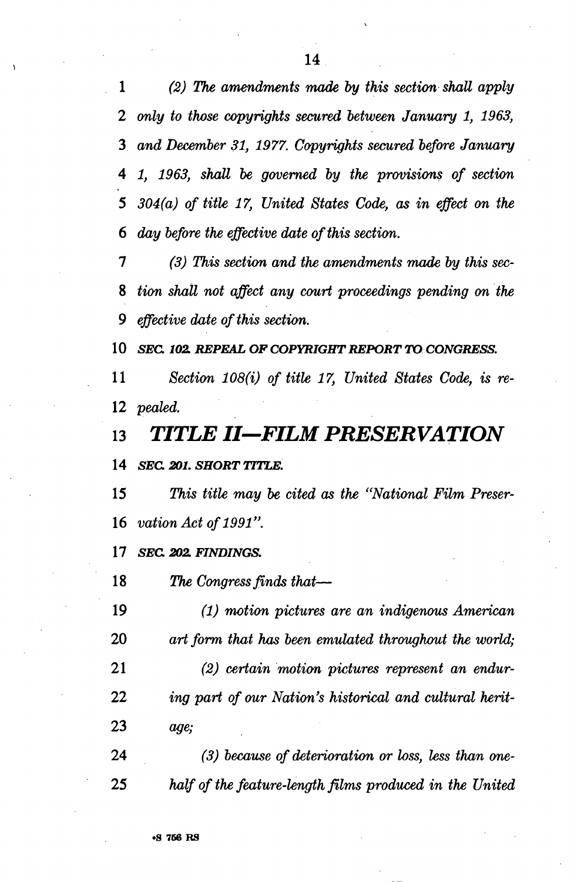*(2) The amendments made by this section shall apply 2 only to those copyrights secured between January 1, 1963, and December 31, 1977. Copyrights secured before January 1, 1963, shall be governed by the provisions of section 304(a) of title 17, United States Code, as in effect on the* 

 *(3) This section and the amendments made by this sec-*

 *day before the effective date of this section.* 

 *tion shall not affect any court proceedings pending on the 9 effective date of this section.* 

 *SEC 102. REPEAL OF COPYRIGHT REPORT TO CONGRESS.* 

 *Section 108(i) of title 17, United States Code, is re- pealed.* 

 *TITLE II—FILM PRESERVATION* 

 *SEC 201. SHORT TITLE.* 

 *This title may be cited as the "National Film Preser- vation Act of 1991".* 

 *SEC 202. FINDINGS.* 

 *The Congress finds that*—

 *(1) motion pictures are an indigenous American art form that has been emulated throughout the world;* 

 *(2) certain motion pictures represent an endur- ing part of our Nation's historical and cultural herit- age;* 

 *(3) because of deterioration or loss, less than one- half of the feature-length films produced in the United*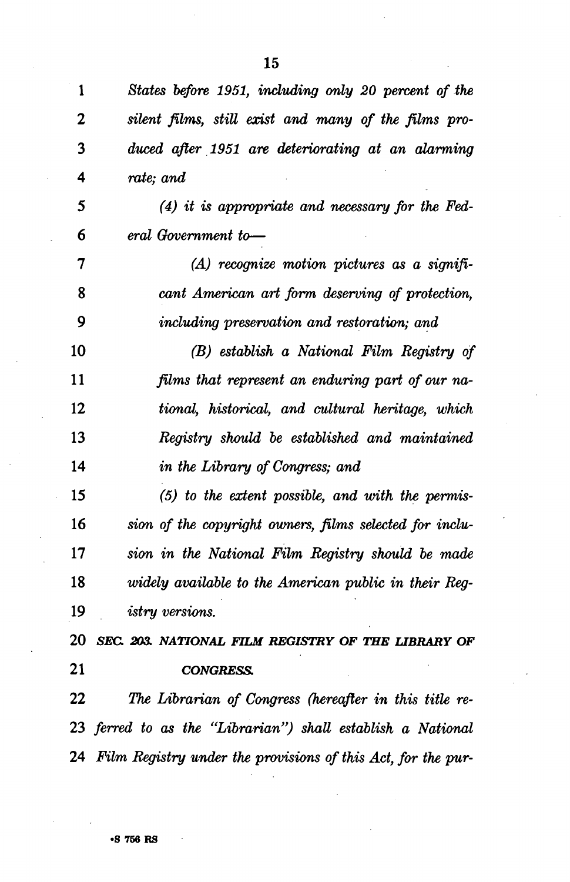*States before 1951, including only 20 percent of the silent films, still exist and many of the films pro- duced after 1951 are deteriorating at an alarming rate; and (4) it is appropriate and necessary for the Fed- eral Government to*—  *(A) recognize motion pictures as a signifi- cant American art form deserving of protection, 9 including preservation and restoration; and (B) establish a National Film Registry of films that represent an enduring part of our na- tional, historical, and cultural heritage, which Registry should be established and maintained in the Library of Congress; and (5) to the extent possible, and with the permis- sion of the copyright owners, films selected for inclu- sion in the National Film Registry should be made widely available to the American public in their Reg- istry versions. SEC 203. NATIONAL FILM REGISTRY OF THE UBRARY OF CONGRESS. The Librarian of Congress (hereafter in this title re- ferred to as the "Librarian") shall establish a National Film Registry under the provisions of this Act, for the pur-*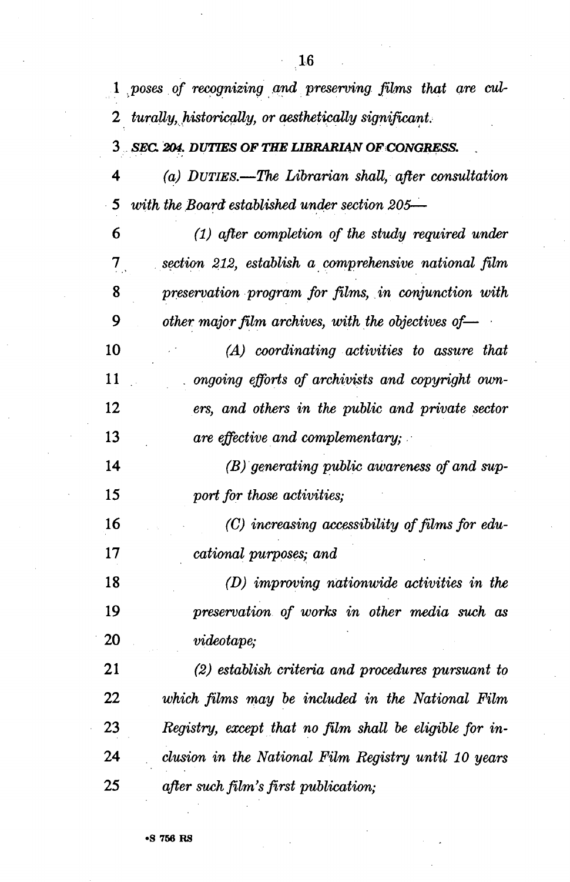|                             | 1 poses of recognizing and preserving films that are cul-       |
|-----------------------------|-----------------------------------------------------------------|
|                             | 2 turally, historically, or aesthetically significant.          |
|                             | 3 SEC. 204. DUTIES OF THE LIBRARIAN OF CONGRESS.                |
| 4                           | (a) DUTIES.—The Librarian shall, after consultation             |
| 5 <sup>5</sup>              | with the Board established under section 205—                   |
| 6                           | $(1)$ after completion of the study required under              |
| $\mathcal{I}_{\mathcal{I}}$ | section 212, establish a comprehensive national film            |
| 8                           | preservation program for films, in conjunction with             |
| 9                           | other major film archives, with the objectives of $\rightarrow$ |
| 10                          | (A) coordinating activities to assure that                      |
| 11                          | ongoing efforts of archivists and copyright own-                |
| 12                          | ers, and others in the public and private sector                |
| 13                          | are effective and complementary;                                |
| 14                          | (B) generating public awareness of and sup-                     |
| 15                          | port for those activities;                                      |
| 16                          | $(C)$ increasing accessibility of films for edu-                |
| 17                          | cational purposes; and                                          |
| 18                          | $(D)$ improving nationwide activities in the                    |
| 19                          | preservation of works in other media such as                    |
| 20                          | videotape;                                                      |
| 21                          | (2) establish criteria and procedures pursuant to               |
| 22                          | which films may be included in the National Film                |
| 23                          | Registry, except that no film shall be eligible for in-         |
| 24                          | clusion in the National Film Registry until 10 years            |
| 25                          | after such film's first publication;                            |

**•S 766 RS**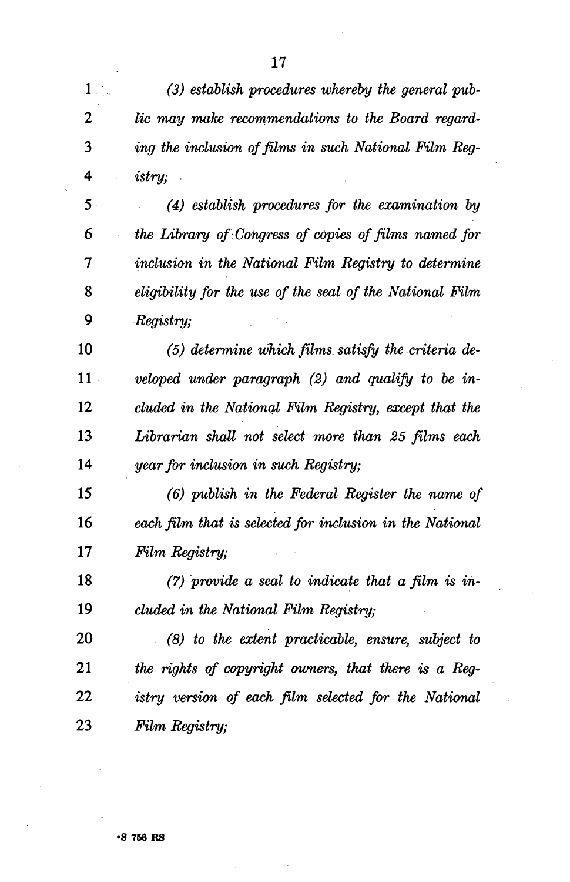*(3) establish procedures whereby the general pub-2 lie may make recommendations to the Board regard- ing the inclusion of films in such National Film Reg- istry; (4) establish procedures for the examination by the Library of Congress of copies of films named for inclusion in the National Film Registry to determine eligibility for the use of the seal of the National Film* 

 *(5) determine which films satisfy the criteria dell veloped under paragraph (2) and qualify to be in- eluded in the National Film Registry, except that the Librarian shaU not select more than 25 films each year for inclusion in such Registry;* 

 *(6) publish in the Federal Register the name of each film that is selected for inclusion in the National Film Registry;* 

 *(7) provide a seal to indicate that a film is in- eluded in the National Film Registry;* 

 *(8) to the extent practicable, ensure, subject to the rights of copyright owners, that there is a Reg- istry version of each film selected for the National Film Registry;* 

 *Registry;*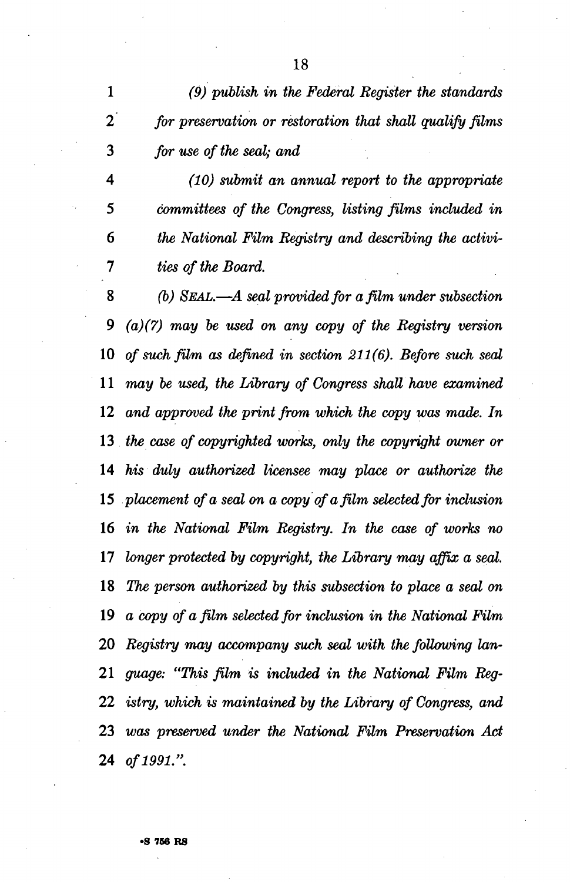*(9) publish in the Federal Register the standards 2 for preservation or restoration that shall qualify films for use of the seal; and* 

 *(10) submit an annual report to the appropriate committees of the Congress, listing films included in the National Film Registry and describing the activi- ties of the Board.* 

 *(b) SEAL.*—*A seal provided for a film under subsection (a)(7) may be used on any copy of the Registry version of such film as defined in section 211(6). Before such seal may be used, the Library of Congress shall have examined and approved the print from which the copy was made. In the case of copyrighted works, only the copyright owner or his duly authorized licensee may place or authorize the placement of a seal on a copy of a film selected for inclusion in the National Film Registry. In the case of works no longer protected by copyright, the Library may affix a seal. The person authorized by this subsection to place a seal on a copy of a film selected for inclusion in the National Film Registry may accompany such seal with the following lan- guage: "This film is included in the National Film Reg- istry, which is maintained by the Library of Congress, and was preserved under the National Film Preservation Act of 1991.".*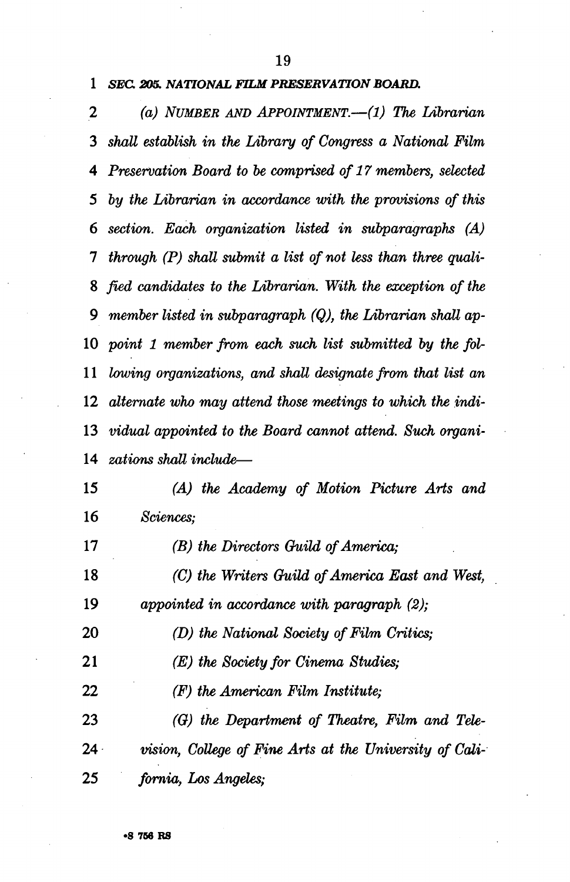#### *SEC. 205. NATIONAL FILM PRESERVATION BOARD.*

*2 (a) NUMBER AND APPOINTMENT.*—*(l) The Librarian shall establish in the Library of Congress a National Film Preservation Board to be comprised of 17 members, selected by the Librarian in accordance with the provisions of this section. Each organization listed in subparagraphs (A) through (P) shall submit a list of not less than three quali- fied candidates to the Librarian. With the exception of the 9 member listed in subparagraph (Q), the Librarian shall ap- point 1 member from each such list submitted by the fol- lowing organizations, and shall designate from that list an alternate who may attend those meetings to which the indi- vidual appointed to the Board cannot attend. Such organi- zations shall include*—

 *(A) the Academy of Motion Picture Arts and Sciences;* 

 *(B) the Directors Guild of America; (C) the Writers Guild of America East and West, appointed in accordance with paragraph (2); (D) the National Society of Film Critics; (E) the Society for Cinema Studies; (F) the American Film Institute; (G) the Department of Theatre, Film and Tele- vision, College of Fine Arts at the University of Cali- fornia, Los Angeles;*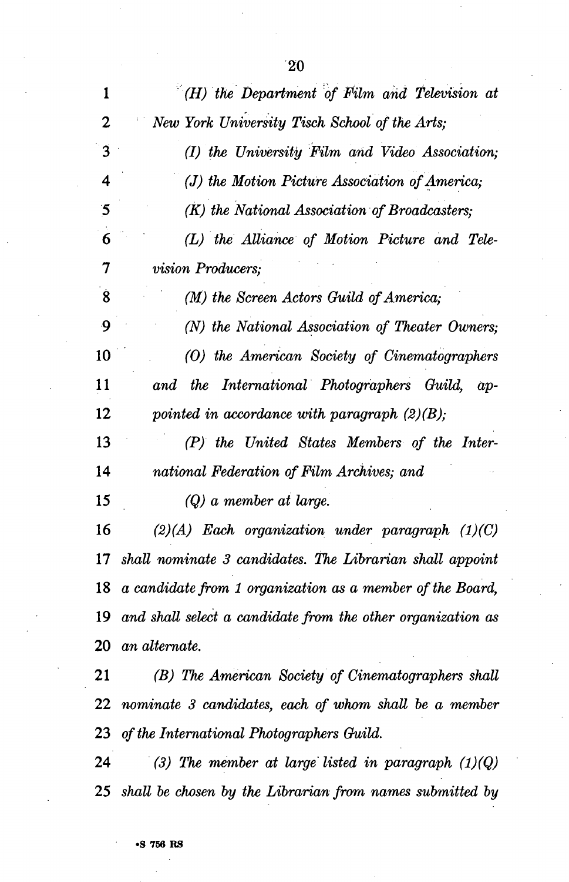| 1                       | $H(H)$ the Department of Film and Television at              |
|-------------------------|--------------------------------------------------------------|
| $\overline{2}$          | New York University Tisch School of the Arts;                |
| $\overline{3}$          | (I) the University Film and Video Association;               |
| $\overline{\mathbf{4}}$ | (J) the Motion Picture Association of America;               |
| $\mathbf{5}$            | (K) the National Association of Broadcasters;                |
| 6                       | (L) the Alliance of Motion Picture and Tele-                 |
| 7                       | <i>vision Producers;</i>                                     |
| $\dot{8}$               | (M) the Screen Actors Guild of America;                      |
| 9                       | (N) the National Association of Theater Owners;              |
| 10                      | (O) the American Society of Cinematographers                 |
| 11                      | and the International Photographers Guild, ap-               |
| 12                      | pointed in accordance with paragraph $(2)(B)$ ;              |
| 13                      | (P) the United States Members of the Inter-                  |
| 14                      | national Federation of Film Archives; and                    |
| 15                      | $(Q)$ a member at large.                                     |
| 16                      | $(2)(A)$ Each organization under paragraph $(1)(C)$          |
| 17                      | shall nominate 3 candidates. The Librarian shall appoint     |
|                         | 18 a candidate from 1 organization as a member of the Board, |
| 19                      | and shall select a candidate from the other organization as  |
|                         | $20$ an alternate.                                           |
| 21                      | (B) The American Society of Cinematographers shall           |
|                         | $22$ nominate 3 candidates, each of whom shall be a member   |
|                         | 23 of the International Photographers Guild.                 |
| 24                      | (3) The member at large listed in paragraph $(1)(Q)$         |
|                         | 25 shall be chosen by the Librarian from names submitted by  |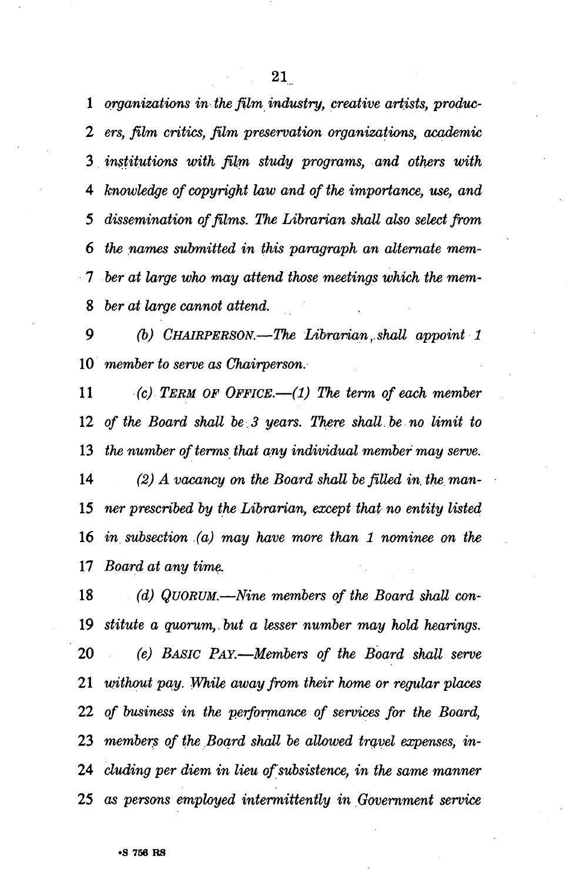*organizations in the film industry, creative artists, produc-2 ers, film critics, film preservation organizations, academic institutions with film study programs, and others with knowledge of copyright law and of the importance, use, and 5 dissemination of films. The Librarian shall also select from the names submitted in this paragraph an alternate mem- ber at large who may attend those meetings which the mem- ber at large cannot attend.* 

*9 (b) CHAIRPERSON.*—*The Librarian,. shall appoint 1 member to serve as Chairperson.* 

 *(c) TERM OF OFFICE.*—*(1) The term of each member of the Board shall be 3 years. There shall be no limit to the number of terms that any individual member may serve. (2) A vacancy on the Board shall be filled in, the man- ner prescribed by the Librarian, except that no entity listed in subsection (a) may have more than 1 nominee on the Board at any time.* 

 *(d) QUORUM.*—*Nine members of the Board shall con- stitute a quorum,,but a lesser number may hold hearings. (e) BASIC PAY.*—*Members of the Board shall serve without pay. While away from their home or regular places of business in the performance of services for the Board, members of the Board shall be allowed travel expenses, in- eluding per diem in lieu of subsistence, in the same manner as persons employed intermittently in Government service*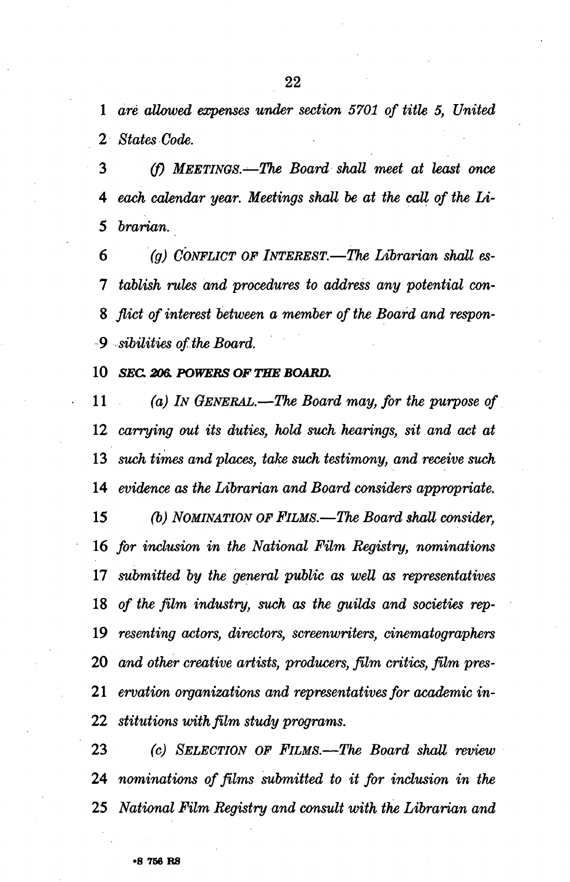*are allowed expenses under section 5701 of title 5, United States Code.* 

 *(f) MEETINGS.—The Board shall meet at least once each calendar year. Meetings shall be at the call of the Li- brarian.* 

 *'(g) CONFLICT OF INTEREST.*—*The Librarian shall es- tablish rules and procedures to address any potential con- flict of interest between a member of the Board and respon-9 sibilities of the Board.* 

 *SEC. 206. POWERS OF THE BOARD.* 

 *(a) IN GENERAL.*—*The Board may, for the purpose of carrying out its duties, hold such hearings, sit and act at such times and places, take such testimony, and receive such evidence as the Librarian and Board considers appropriate. (b) NOMINATION OF FILMS.*—*The Board shall consider, for inclusion in the National Film Registry, nominations submitted by the general public as well as representatives of the film industry, such as the guilds and societies rep- resenting actors, directors, screenwriters, cinematographers and other creative artists, producers, film critics, film pres- ervation organizations and representatives for academic in- stitutions with film study programs.* 

 *(c) SELECTION OF FILMS.*—*The Board shall review nominations of films submitted to it for inclusion in the National Film Registry and consult with the Librarian and*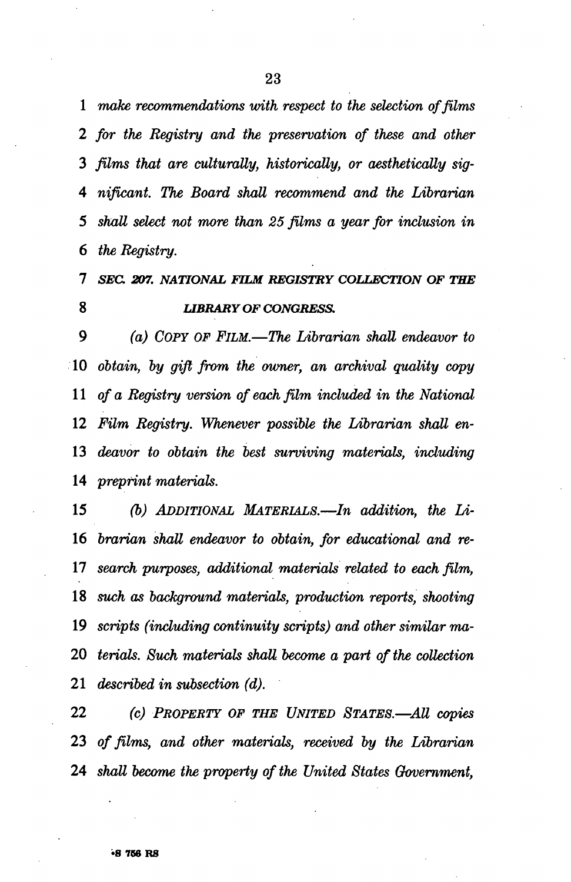*make recommendations with respect to the selection of films 2 for the Registry and the preservation of these and other films that are culturally, historically, or aesthetically sig- nificant. The Board shall recommend and the Librarian shall select not more than 25 films a year for inclusion in the Registry.* 

#### *SEC. 207. NATIONAL FILM REGISTRY COLLECTION OF THE LIBRARY OF CONGRESS.*

 *(a) COPY OF FILM.*—*The Librarian shall endeavor to obtain, by gift from the owner, an archival quality copy of a Registry version of each film included in the National Film Registry. Whenever possible the Librarian shall en- deavor to obtain the best surviving materials, including preprint materials.* 

 *(b) ADDITIONAL MATERIALS.*—*In addition, the Li- brarian shall endeavor to obtain, for educational and re- search purposes, additional materials related to each film, such as background materials, production reports, shooting scripts (including continuity scripts) and other similar ma- terials. Such materials shall become a part of the collection described in subsection (d).* 

 *(c) PROPERTY OF THE UNITED STATES—All copies of films, and other materials, received by the Librarian shall become the property of the United States Government,*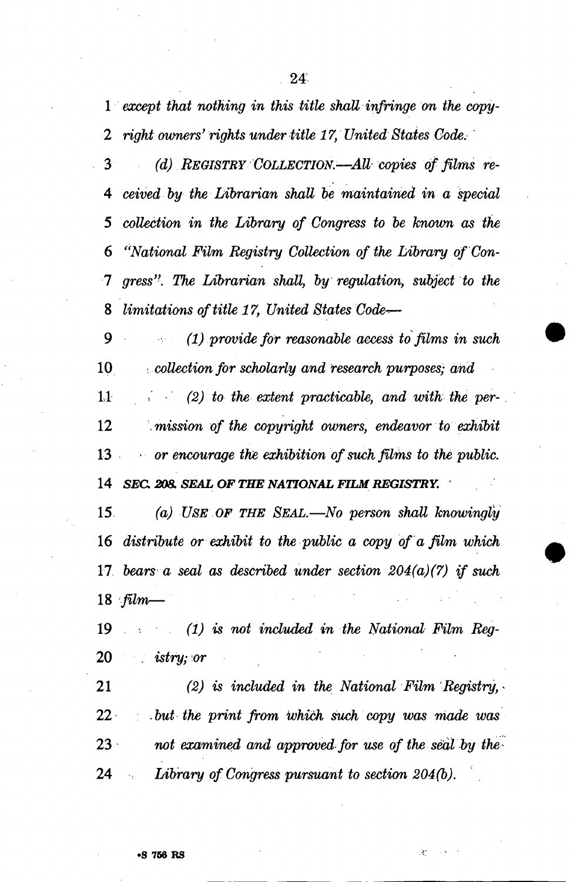*except that nothing in this title shall infringe on the copy-2 right owners' rights under title 17, United States Code.* 

 *(d) REGISTRY COLLECTION—AU-wpies of films re- ceived by the Librarian shall be maintained in a special 5 collection in the Library of Congress to be known as the "National Film Registry Collection of the Library of'Con-1 gress''. The Librarian shall, by regulation, subject to the limitations of title 17, United States Code-r—* 

 *(1) provide for reasonable access to films in such .collection for scholarly and research purposes; and* 

1.1 (2) to the extent practicable, and with the per- *.mission of the copyright owners, endeavor to exhibit*  13 • • *or encourage the exhibition of such films to the public. SEC. 208. SEAL OF THE NATIONAL FILM REGISTRY.* 

 *(a) USE OF THE SEAL.*—*No person shall knowingly distribute or exhibit to the public a copy of a film which bears a seal as described under section 204(a)(7) if such film—* 

 *(1) is not included in the National Film Reg-*20 . *istry;or* 

 *(2) is included in the National Film Registry,* - 22 : , *but the print from which such copy was made was not examined and approved for use of the seal by the Library of Congress pursuant to section 204(b).* 

Ã,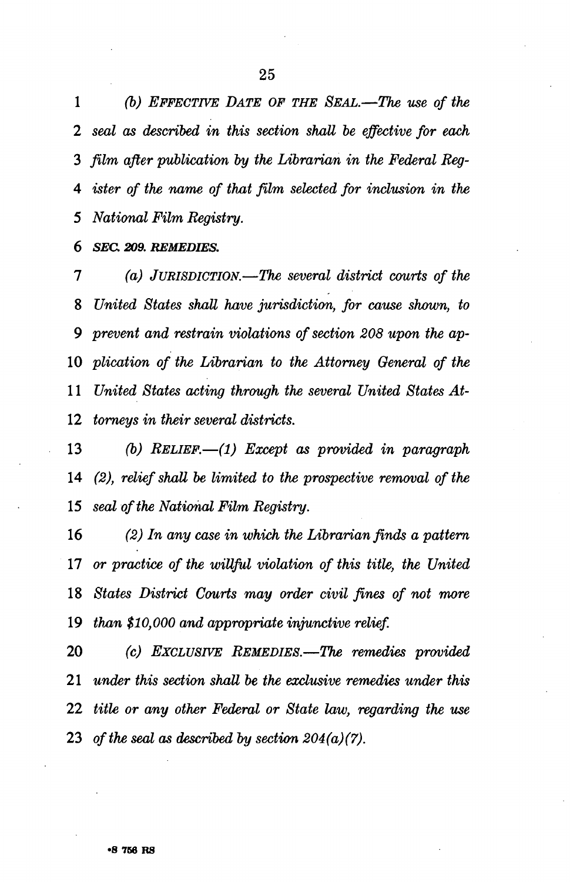*(b) EFFECTIVE DATE OF THE SEAL.*—*The use of the 2 seal as described in this section shall be effective for each film after publication by the Librarian in the Federal Reg- ister of the name of that film selected for inclusion in the National Film Registry.* 

 *SEC 209. REMEDIES.* 

 *(a) JURISDICTION.*—*The several district courts of the United States shall have jurisdiction, for cause shown, to 9 prevent and restrain violations of section 208 upon the ap- plication of the Librarian to the Attorney General of the United States acting through the several United States At- torneys in their several districts.* 

 *(b) RELIEF.*—*(1) Except as provided in paragraph (2), relief shall be limited to the prospective removal of the seal of the National Film Registry.* 

 *(2) In any case in which the Librarian finds a pattern or practice of the willful violation of this title, the United States District Courts may order civil fines of not more than \$10,000 and appropriate injunctive relief.* 

 *(c) EXCLUSIVE REMEDIES.*—*The remedies provided under this section shall be the exclusive remedies under this title or any other Federal or State law, regarding the use of the seal as described by section 204(a)(7).*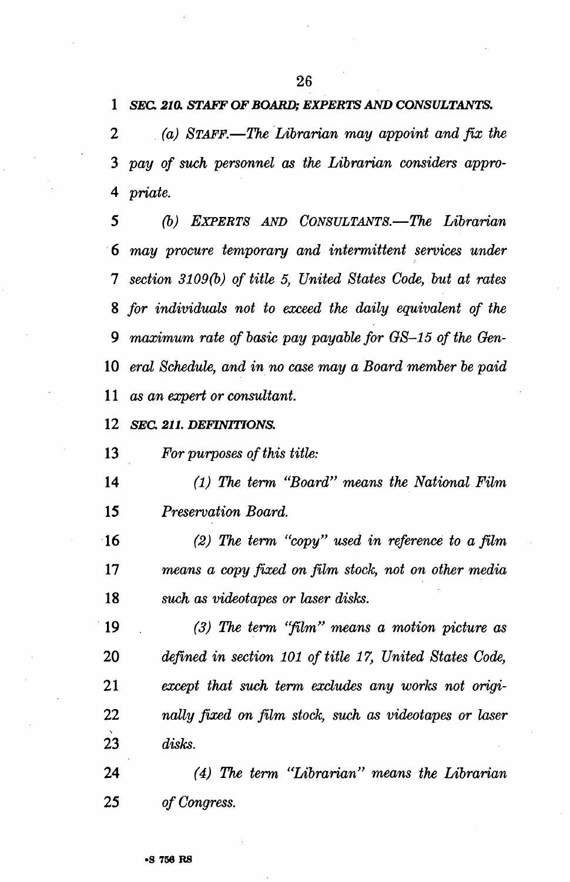*SEC. 210. STAFF OF BOARD; EXPERTS AND CONSULTANTS.* 

*2 (a) STAFF.*—*The Librarian may appoint and fix the pay of such personnel as the Librarian considers appro- priate.* 

*5 (b) EXPERTS AND CONSULTANTS.*—*The Librarian may procure temporary and intermittent services under section 3109(b) of title 5, United States Code, but at rates for individuals not to exceed the daily equivalent of the 9 maximum rate of basic pay payable for GS-15 of the Oen- eral Schedule, and in no case may a Board member be paid as an expert or consultant.* 

 *SEC. 211. DEFINITIONS.* 

 *For purposes of this title:* 

 *(1) The term "Board" means the National Film Preservation Board.* 

 *(2) The term "copy" used in reference to a film means a copy fixed on film stock, not on other media such as videotapes or laser disks.* 

 *(3) The term "film" means a motion picture as defined in section 101 of title 17, United States Code, except that such term excludes any works not origi- natty fixed on film stock, such as videotapes or laser disks.* 

 *(4) The term "Librarian" means the Librarian of Congress.*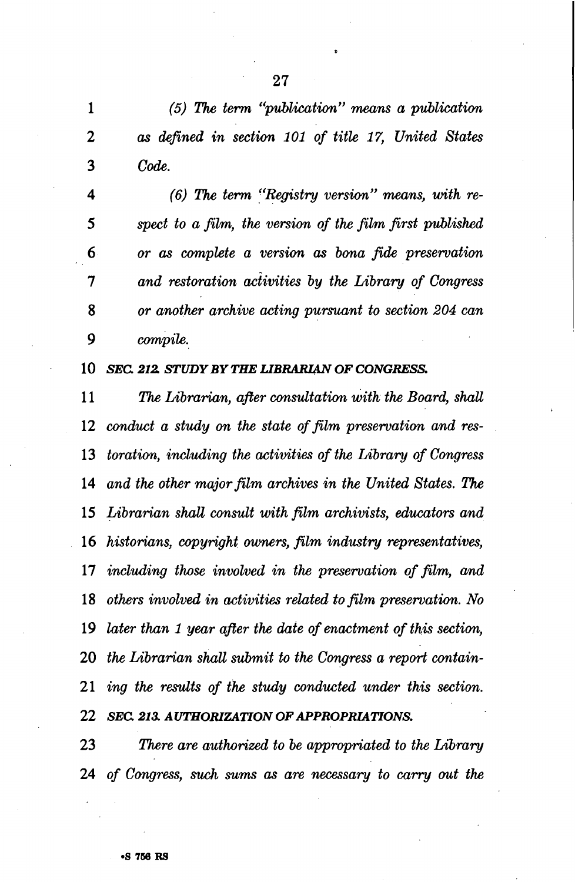*(5) The term "publication" means a publication 2 as defined in section 101 of title 17, United States Code.* 

 *(6) The term "Registry version" means, with re- spect to a film, the version of the film first published or as complete a version as bona fide preservation 1 and restoration activities by the Library of Congress or another archive acting pursuant to section 204 can 9 compile.* 

 *SEC 212. STUDY BY THE LIBRARIAN OF CONGRESS.* 

 *The Librarian, after consultation with the Board, shall conduct a study on the state of film preservation and res- toration, including the activities of the Library of Congress and the other major film archives in the United States. The Librarian shall consult with film archivists, educators and historians, copyright owners, film industry representatives, including those involved in the preservation of film, and others involved in activities related to film preservation. No later than 1 year after the date of enactment of this section, the Librarian shall submit to the Congress a report contain- ing the results of the study conducted under this section. SEC. 213. AUTHORIZATION OF APPROPRIATIONS.* 

 *There are authorized to be appropriated to the Library of Congress, such sums as are necessary to carry out the*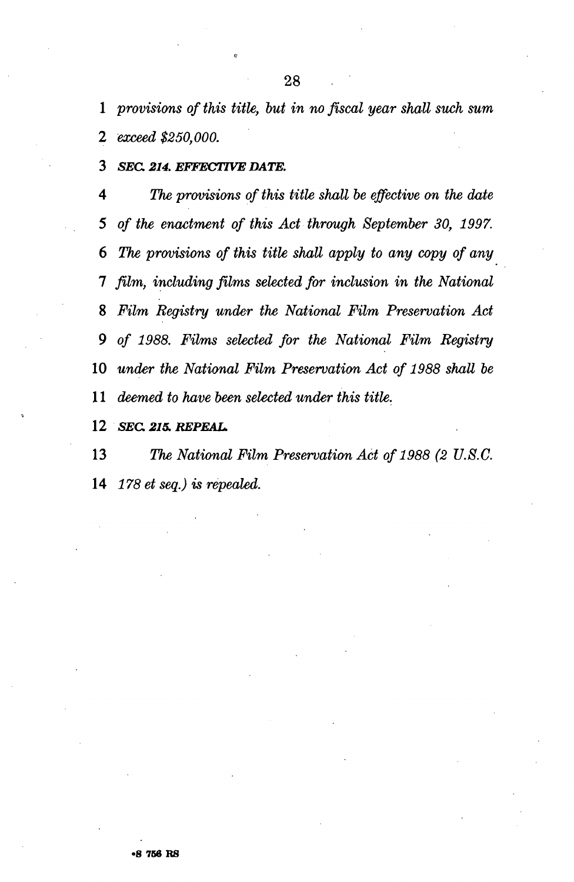*provisions of this title, but in no fiscal year shall such sum exceed \$250,000.* 

 *SEC. 214. EFFECTIVE DATE.* 

 *The provisions of this title shall be effective on the date of the enactment of this Act through September 30, 1997. The provisions of this title shall apply to any copy of any 1 film, including films selected for inclusion in the National Film Registry under the National Film Preservation Act 9 of 1988. Films selected for the National Film Registry under the National Film Preservation Act of 1988 shall be*  1 *deemed to have been selected under this title.* 

 *SEC 215. REPEAL.* 

 *The National Film Preservation Act of 1988 (2 U.8.C. 178 et seq.) is repealed.*